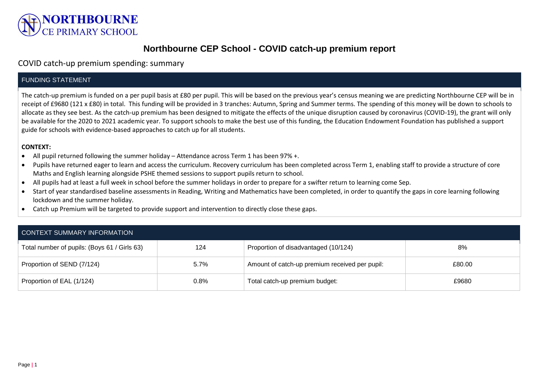

# **Northbourne CEP School - COVID catch-up premium report**

## COVID catch-up premium spending: summary

### FUNDING STATEMENT

The catch-up premium is funded on a per pupil basis at £80 per pupil. This will be based on the previous year's census meaning we are predicting Northbourne CEP will be in receipt of £9680 (121 x £80) in total. This funding will be provided in 3 tranches: Autumn, Spring and Summer terms. The spending of this money will be down to schools to allocate as they see best. As the catch-up premium has been designed to mitigate the effects of the unique disruption caused by coronavirus (COVID-19), the grant will only be available for the 2020 to 2021 academic year. To support schools to make the best use of this funding, the Education Endowment Foundation has published a support guide for schools with evidence-based approaches to catch up for all students.

#### **CONTEXT:**

- All pupil returned following the summer holiday Attendance across Term 1 has been 97% +.
- Pupils have returned eager to learn and access the curriculum. Recovery curriculum has been completed across Term 1, enabling staff to provide a structure of core Maths and English learning alongside PSHE themed sessions to support pupils return to school.
- All pupils had at least a full week in school before the summer holidays in order to prepare for a swifter return to learning come Sep.
- Start of year standardised baseline assessments in Reading, Writing and Mathematics have been completed, in order to quantify the gaps in core learning following lockdown and the summer holiday.
- Catch up Premium will be targeted to provide support and intervention to directly close these gaps.

| CONTEXT SUMMARY INFORMATION                  |         |                                                |        |  |
|----------------------------------------------|---------|------------------------------------------------|--------|--|
| Total number of pupils: (Boys 61 / Girls 63) | 124     | Proportion of disadvantaged (10/124)           | 8%     |  |
| Proportion of SEND (7/124)                   | $5.7\%$ | Amount of catch-up premium received per pupil: | £80.00 |  |
| Proportion of EAL (1/124)                    | $0.8\%$ | Total catch-up premium budget:                 | £9680  |  |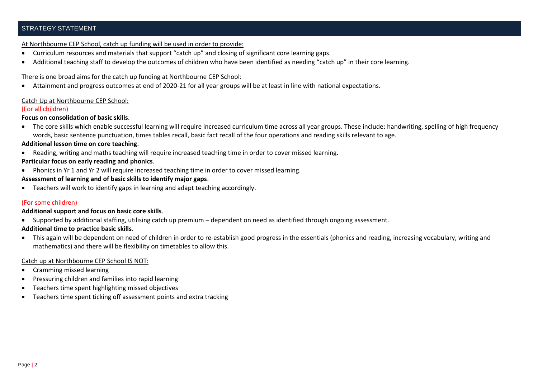#### STRATEGY STATEMENT

#### At Northbourne CEP School, catch up funding will be used in order to provide:

- Curriculum resources and materials that support "catch up" and closing of significant core learning gaps.
- Additional teaching staff to develop the outcomes of children who have been identified as needing "catch up" in their core learning.

#### There is one broad aims for the catch up funding at Northbourne CEP School:

Attainment and progress outcomes at end of 2020-21 for all year groups will be at least in line with national expectations.

#### Catch Up at Northbourne CEP School:

#### (For all children)

#### **Focus on consolidation of basic skills**.

 The core skills which enable successful learning will require increased curriculum time across all year groups. These include: handwriting, spelling of high frequency words, basic sentence punctuation, times tables recall, basic fact recall of the four operations and reading skills relevant to age.

#### **Additional lesson time on core teaching**.

Reading, writing and maths teaching will require increased teaching time in order to cover missed learning.

#### **Particular focus on early reading and phonics**.

Phonics in Yr 1 and Yr 2 will require increased teaching time in order to cover missed learning.

#### **Assessment of learning and of basic skills to identify major gaps**.

Teachers will work to identify gaps in learning and adapt teaching accordingly.

#### (For some children)

#### **Additional support and focus on basic core skills**.

Supported by additional staffing, utilising catch up premium – dependent on need as identified through ongoing assessment.

#### **Additional time to practice basic skills**.

 This again will be dependent on need of children in order to re-establish good progress in the essentials (phonics and reading, increasing vocabulary, writing and mathematics) and there will be flexibility on timetables to allow this.

#### Catch up at Northbourne CEP School IS NOT:

- Cramming missed learning
- Pressuring children and families into rapid learning
- Teachers time spent highlighting missed objectives
- Teachers time spent ticking off assessment points and extra tracking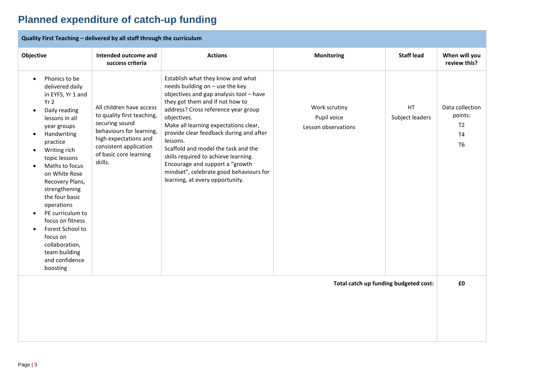# **Planned expenditure of catch-up funding**

| Quality First Teaching - delivered by all staff through the curriculum                                                                                                                                                                                                                                                                                                                                                                                                                                    |                                                                                                                                                                                              |                                                                                                                                                                                                                                                                                                                                                                                                                                                                                                          |                                                     |                        |                                                                      |
|-----------------------------------------------------------------------------------------------------------------------------------------------------------------------------------------------------------------------------------------------------------------------------------------------------------------------------------------------------------------------------------------------------------------------------------------------------------------------------------------------------------|----------------------------------------------------------------------------------------------------------------------------------------------------------------------------------------------|----------------------------------------------------------------------------------------------------------------------------------------------------------------------------------------------------------------------------------------------------------------------------------------------------------------------------------------------------------------------------------------------------------------------------------------------------------------------------------------------------------|-----------------------------------------------------|------------------------|----------------------------------------------------------------------|
| Objective                                                                                                                                                                                                                                                                                                                                                                                                                                                                                                 | Intended outcome and<br>success criteria                                                                                                                                                     | <b>Actions</b>                                                                                                                                                                                                                                                                                                                                                                                                                                                                                           | <b>Monitoring</b>                                   | <b>Staff lead</b>      | When will you<br>review this?                                        |
| Phonics to be<br>$\bullet$<br>delivered daily<br>in EYFS, Yr 1 and<br>Yr 2<br>Daily reading<br>$\bullet$<br>lessons in all<br>year groups<br>Handwriting<br>$\bullet$<br>practice<br>Writing rich<br>topic lessons<br>Maths to focus<br>$\bullet$<br>on White Rose<br>Recovery Plans,<br>strengthening<br>the four basic<br>operations<br>PE curriculum to<br>$\bullet$<br>focus on fitness<br>Forest School to<br>$\bullet$<br>focus on<br>collaboration,<br>team building<br>and confidence<br>boosting | All children have access<br>to quality first teaching,<br>securing sound<br>behaviours for learning,<br>high expectations and<br>consistent application<br>of basic core learning<br>skills. | Establish what they know and what<br>needs building on - use the key<br>objectives and gap analysis tool - have<br>they got them and if not how to<br>address? Cross reference year group<br>objectives.<br>Make all learning expectations clear,<br>provide clear feedback during and after<br>lessons.<br>Scaffold and model the task and the<br>skills required to achieve learning.<br>Encourage and support a "growth<br>mindset", celebrate good behaviours for<br>learning, at every opportunity. | Work scrutiny<br>Pupil voice<br>Lesson observations | HT.<br>Subject leaders | Data collection<br>points:<br>T <sub>2</sub><br>T4<br>T <sub>6</sub> |
| Total catch up funding budgeted cost:                                                                                                                                                                                                                                                                                                                                                                                                                                                                     |                                                                                                                                                                                              |                                                                                                                                                                                                                                                                                                                                                                                                                                                                                                          |                                                     | £0                     |                                                                      |
|                                                                                                                                                                                                                                                                                                                                                                                                                                                                                                           |                                                                                                                                                                                              |                                                                                                                                                                                                                                                                                                                                                                                                                                                                                                          |                                                     |                        |                                                                      |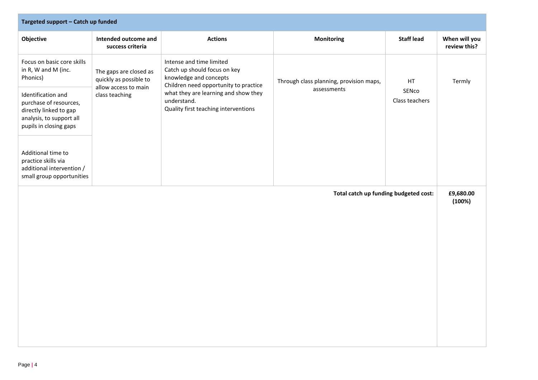| Targeted support - Catch up funded                                                                                           |                                                                                            |                                                                                                                                                                                                                            |                                                        |                               |                               |  |
|------------------------------------------------------------------------------------------------------------------------------|--------------------------------------------------------------------------------------------|----------------------------------------------------------------------------------------------------------------------------------------------------------------------------------------------------------------------------|--------------------------------------------------------|-------------------------------|-------------------------------|--|
| Objective                                                                                                                    | Intended outcome and<br>success criteria                                                   | <b>Actions</b>                                                                                                                                                                                                             | <b>Monitoring</b>                                      | <b>Staff lead</b>             | When will you<br>review this? |  |
| Focus on basic core skills<br>in R, W and M (inc.<br>Phonics)                                                                | The gaps are closed as<br>quickly as possible to<br>allow access to main<br>class teaching | Intense and time limited<br>Catch up should focus on key<br>knowledge and concepts<br>Children need opportunity to practice<br>what they are learning and show they<br>understand.<br>Quality first teaching interventions | Through class planning, provision maps,<br>assessments | HT<br>SENco<br>Class teachers | Termly                        |  |
| Identification and<br>purchase of resources,<br>directly linked to gap<br>analysis, to support all<br>pupils in closing gaps |                                                                                            |                                                                                                                                                                                                                            |                                                        |                               |                               |  |
| Additional time to<br>practice skills via<br>additional intervention /<br>small group opportunities                          |                                                                                            |                                                                                                                                                                                                                            |                                                        |                               |                               |  |
| Total catch up funding budgeted cost:                                                                                        |                                                                                            |                                                                                                                                                                                                                            |                                                        |                               | £9,680.00<br>(100%)           |  |
|                                                                                                                              |                                                                                            |                                                                                                                                                                                                                            |                                                        |                               |                               |  |
|                                                                                                                              |                                                                                            |                                                                                                                                                                                                                            |                                                        |                               |                               |  |
|                                                                                                                              |                                                                                            |                                                                                                                                                                                                                            |                                                        |                               |                               |  |
|                                                                                                                              |                                                                                            |                                                                                                                                                                                                                            |                                                        |                               |                               |  |
|                                                                                                                              |                                                                                            |                                                                                                                                                                                                                            |                                                        |                               |                               |  |
|                                                                                                                              |                                                                                            |                                                                                                                                                                                                                            |                                                        |                               |                               |  |
|                                                                                                                              |                                                                                            |                                                                                                                                                                                                                            |                                                        |                               |                               |  |